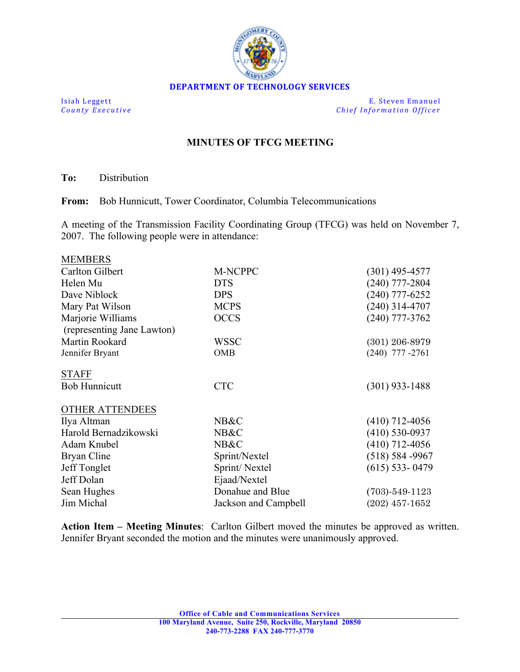

**Isiah Leggett E.** Steven Emanuel **County Executive** *Chief Information Officer Chief Information Officer* 

## **MINUTES OF TFCG MEETING**

**To:** Distribution

**From:** Bob Hunnicutt, Tower Coordinator, Columbia Telecommunications

A meeting of the Transmission Facility Coordinating Group (TFCG) was held on November 7, 2007. The following people were in attendance:

| <b>MEMBERS</b>             |                      |                      |
|----------------------------|----------------------|----------------------|
| Carlton Gilbert            | M-NCPPC              | (301) 495-4577       |
| Helen Mu                   | <b>DTS</b>           | $(240)$ 777-2804     |
| Dave Niblock               | <b>DPS</b>           | $(240)$ 777-6252     |
| Mary Pat Wilson            | <b>MCPS</b>          | $(240)$ 314-4707     |
| Marjorie Williams          | <b>OCCS</b>          | $(240)$ 777-3762     |
| (representing Jane Lawton) |                      |                      |
| Martin Rookard             | WSSC                 | $(301)$ 206-8979     |
| Jennifer Bryant            | OMB                  | $(240)$ 777 -2761    |
| <b>STAFF</b>               |                      |                      |
| <b>Bob Hunnicutt</b>       | <b>CTC</b>           | $(301)$ 933-1488     |
| <b>OTHER ATTENDEES</b>     |                      |                      |
| Ilya Altman                | NB&C                 | $(410)$ 712-4056     |
| Harold Bernadzikowski      | NB&C                 | $(410) 530 - 0937$   |
| Adam Knubel                | NB&C                 | (410) 712-4056       |
| Bryan Cline                | Sprint/Nextel        | $(518) 584 - 9967$   |
| Jeff Tonglet               | Sprint/Nextel        | $(615)$ 533-0479     |
| Jeff Dolan                 | Ejaad/Nextel         |                      |
| Sean Hughes                | Donahue and Blue     | $(703) - 549 - 1123$ |
| Jim Michal                 | Jackson and Campbell | $(202)$ 457-1652     |
|                            |                      |                      |

**Action Item – Meeting Minutes**: Carlton Gilbert moved the minutes be approved as written. Jennifer Bryant seconded the motion and the minutes were unanimously approved.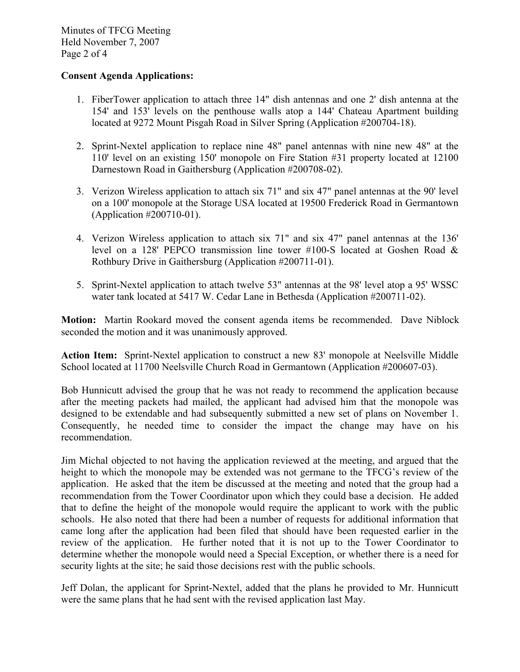Minutes of TFCG Meeting Held November 7, 2007 Page 2 of 4

## **Consent Agenda Applications:**

- 1. FiberTower application to attach three 14" dish antennas and one 2' dish antenna at the 154' and 153' levels on the penthouse walls atop a 144' Chateau Apartment building located at 9272 Mount Pisgah Road in Silver Spring (Application #200704-18).
- 2. Sprint-Nextel application to replace nine 48" panel antennas with nine new 48" at the 110' level on an existing 150' monopole on Fire Station #31 property located at 12100 Darnestown Road in Gaithersburg (Application #200708-02).
- 3. Verizon Wireless application to attach six 71" and six 47" panel antennas at the 90' level on a 100' monopole at the Storage USA located at 19500 Frederick Road in Germantown (Application #200710-01).
- 4. Verizon Wireless application to attach six 71" and six 47" panel antennas at the 136' level on a 128' PEPCO transmission line tower #100-S located at Goshen Road & Rothbury Drive in Gaithersburg (Application #200711-01).
- 5. Sprint-Nextel application to attach twelve 53" antennas at the 98' level atop a 95' WSSC water tank located at 5417 W. Cedar Lane in Bethesda (Application #200711-02).

**Motion:** Martin Rookard moved the consent agenda items be recommended. Dave Niblock seconded the motion and it was unanimously approved.

**Action Item:** Sprint-Nextel application to construct a new 83' monopole at Neelsville Middle School located at 11700 Neelsville Church Road in Germantown (Application #200607-03).

Bob Hunnicutt advised the group that he was not ready to recommend the application because after the meeting packets had mailed, the applicant had advised him that the monopole was designed to be extendable and had subsequently submitted a new set of plans on November 1. Consequently, he needed time to consider the impact the change may have on his recommendation.

Jim Michal objected to not having the application reviewed at the meeting, and argued that the height to which the monopole may be extended was not germane to the TFCG's review of the application. He asked that the item be discussed at the meeting and noted that the group had a recommendation from the Tower Coordinator upon which they could base a decision. He added that to define the height of the monopole would require the applicant to work with the public schools. He also noted that there had been a number of requests for additional information that came long after the application had been filed that should have been requested earlier in the review of the application. He further noted that it is not up to the Tower Coordinator to determine whether the monopole would need a Special Exception, or whether there is a need for security lights at the site; he said those decisions rest with the public schools.

Jeff Dolan, the applicant for Sprint-Nextel, added that the plans he provided to Mr. Hunnicutt were the same plans that he had sent with the revised application last May.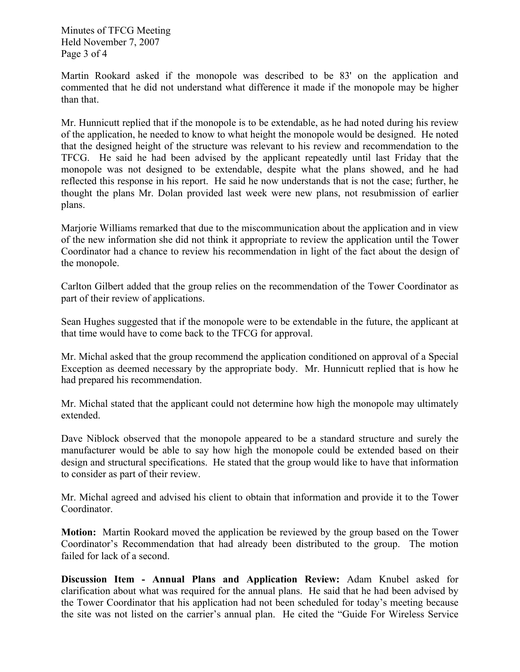Minutes of TFCG Meeting Held November 7, 2007 Page 3 of 4

Martin Rookard asked if the monopole was described to be 83' on the application and commented that he did not understand what difference it made if the monopole may be higher than that.

Mr. Hunnicutt replied that if the monopole is to be extendable, as he had noted during his review of the application, he needed to know to what height the monopole would be designed. He noted that the designed height of the structure was relevant to his review and recommendation to the TFCG. He said he had been advised by the applicant repeatedly until last Friday that the monopole was not designed to be extendable, despite what the plans showed, and he had reflected this response in his report. He said he now understands that is not the case; further, he thought the plans Mr. Dolan provided last week were new plans, not resubmission of earlier plans.

Marjorie Williams remarked that due to the miscommunication about the application and in view of the new information she did not think it appropriate to review the application until the Tower Coordinator had a chance to review his recommendation in light of the fact about the design of the monopole.

Carlton Gilbert added that the group relies on the recommendation of the Tower Coordinator as part of their review of applications.

Sean Hughes suggested that if the monopole were to be extendable in the future, the applicant at that time would have to come back to the TFCG for approval.

Mr. Michal asked that the group recommend the application conditioned on approval of a Special Exception as deemed necessary by the appropriate body. Mr. Hunnicutt replied that is how he had prepared his recommendation.

Mr. Michal stated that the applicant could not determine how high the monopole may ultimately extended.

Dave Niblock observed that the monopole appeared to be a standard structure and surely the manufacturer would be able to say how high the monopole could be extended based on their design and structural specifications. He stated that the group would like to have that information to consider as part of their review.

Mr. Michal agreed and advised his client to obtain that information and provide it to the Tower Coordinator.

**Motion:** Martin Rookard moved the application be reviewed by the group based on the Tower Coordinator's Recommendation that had already been distributed to the group. The motion failed for lack of a second.

**Discussion Item - Annual Plans and Application Review:** Adam Knubel asked for clarification about what was required for the annual plans. He said that he had been advised by the Tower Coordinator that his application had not been scheduled for today's meeting because the site was not listed on the carrier's annual plan. He cited the "Guide For Wireless Service